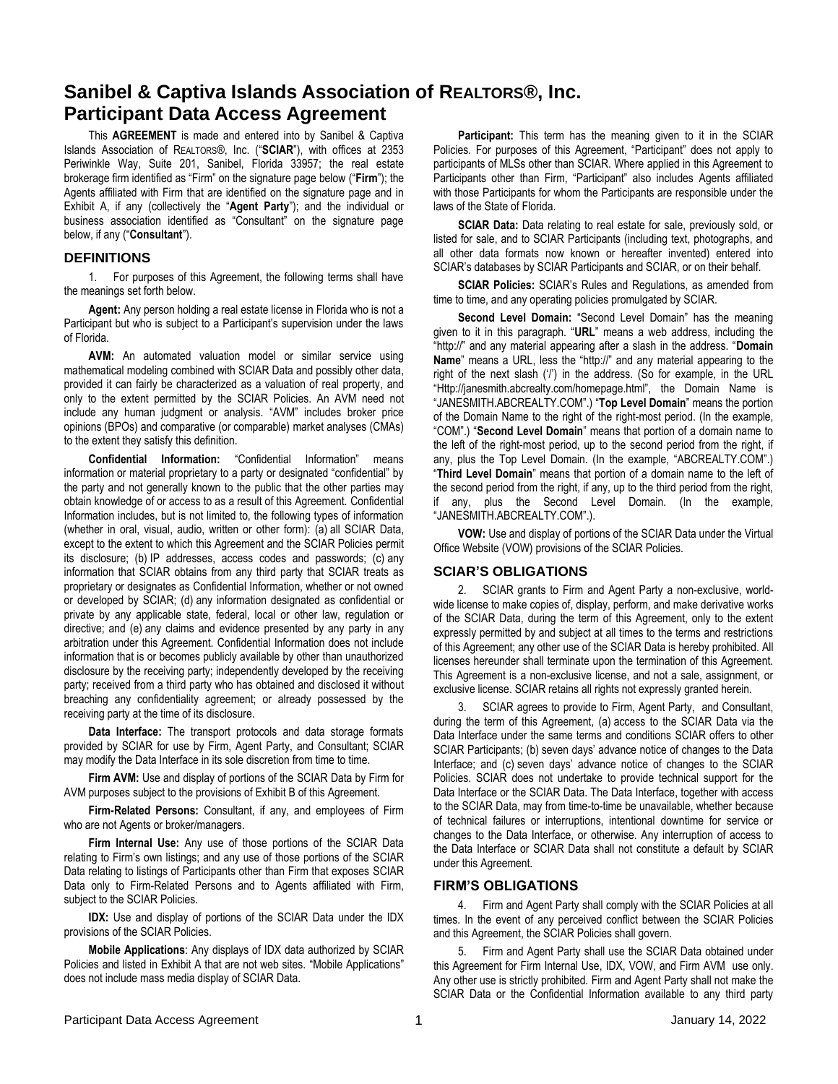This **AGREEMENT** is made and entered into by Sanibel & Captiva Islands Association of REALTORS®, Inc. ("**SCIAR**"), with offices at 2353 Periwinkle Way, Suite 201, Sanibel, Florida 33957; the real estate brokerage firm identified as "Firm" on the signature page below ("**Firm**"); the Agents affiliated with Firm that are identified on the signature page and in Exhibit A, if any (collectively the "**Agent Party**"); and the individual or business association identified as "Consultant" on the signature page below, if any ("**Consultant**").

#### **DEFINITIONS**

1. For purposes of this Agreement, the following terms shall have the meanings set forth below.

**Agent:** Any person holding a real estate license in Florida who is not a Participant but who is subject to a Participant's supervision under the laws of Florida.

**AVM:** An automated valuation model or similar service using mathematical modeling combined with SCIAR Data and possibly other data, provided it can fairly be characterized as a valuation of real property, and only to the extent permitted by the SCIAR Policies. An AVM need not include any human judgment or analysis. "AVM" includes broker price opinions (BPOs) and comparative (or comparable) market analyses (CMAs) to the extent they satisfy this definition.

**Confidential Information:** "Confidential Information" means information or material proprietary to a party or designated "confidential" by the party and not generally known to the public that the other parties may obtain knowledge of or access to as a result of this Agreement. Confidential Information includes, but is not limited to, the following types of information (whether in oral, visual, audio, written or other form): (a) all SCIAR Data, except to the extent to which this Agreement and the SCIAR Policies permit its disclosure; (b) IP addresses, access codes and passwords; (c) any information that SCIAR obtains from any third party that SCIAR treats as proprietary or designates as Confidential Information, whether or not owned or developed by SCIAR; (d) any information designated as confidential or private by any applicable state, federal, local or other law, regulation or directive; and (e) any claims and evidence presented by any party in any arbitration under this Agreement. Confidential Information does not include information that is or becomes publicly available by other than unauthorized disclosure by the receiving party; independently developed by the receiving party; received from a third party who has obtained and disclosed it without breaching any confidentiality agreement; or already possessed by the receiving party at the time of its disclosure.

**Data Interface:** The transport protocols and data storage formats provided by SCIAR for use by Firm, Agent Party, and Consultant; SCIAR may modify the Data Interface in its sole discretion from time to time.

**Firm AVM:** Use and display of portions of the SCIAR Data by Firm for AVM purposes subject to the provisions of Exhibit B of this Agreement.

**Firm-Related Persons:** Consultant, if any, and employees of Firm who are not Agents or broker/managers.

**Firm Internal Use:** Any use of those portions of the SCIAR Data relating to Firm's own listings; and any use of those portions of the SCIAR Data relating to listings of Participants other than Firm that exposes SCIAR Data only to Firm-Related Persons and to Agents affiliated with Firm, subject to the SCIAR Policies.

**IDX:** Use and display of portions of the SCIAR Data under the IDX provisions of the SCIAR Policies.

**Mobile Applications**: Any displays of IDX data authorized by SCIAR Policies and listed in Exhibit A that are not web sites. "Mobile Applications" does not include mass media display of SCIAR Data.

**Participant:** This term has the meaning given to it in the SCIAR Policies. For purposes of this Agreement, "Participant" does not apply to participants of MLSs other than SCIAR. Where applied in this Agreement to Participants other than Firm, "Participant" also includes Agents affiliated with those Participants for whom the Participants are responsible under the laws of the State of Florida.

**SCIAR Data:** Data relating to real estate for sale, previously sold, or listed for sale, and to SCIAR Participants (including text, photographs, and all other data formats now known or hereafter invented) entered into SCIAR's databases by SCIAR Participants and SCIAR, or on their behalf.

**SCIAR Policies:** SCIAR's Rules and Regulations, as amended from time to time, and any operating policies promulgated by SCIAR.

**Second Level Domain:** "Second Level Domain" has the meaning given to it in this paragraph. "**URL**" means a web address, including the "http://" and any material appearing after a slash in the address. "**Domain Name**" means a URL, less the "http://" and any material appearing to the right of the next slash ('/') in the address. (So for example, in the URL "Http://janesmith.abcrealty.com/homepage.html", the Domain Name is "JANESMITH.ABCREALTY.COM".) "**Top Level Domain**" means the portion of the Domain Name to the right of the right-most period. (In the example, "COM".) "**Second Level Domain**" means that portion of a domain name to the left of the right-most period, up to the second period from the right, if any, plus the Top Level Domain. (In the example, "ABCREALTY.COM".) "**Third Level Domain**" means that portion of a domain name to the left of the second period from the right, if any, up to the third period from the right, if any, plus the Second Level Domain. (In the example, "JANESMITH.ABCREALTY.COM".).

**VOW:** Use and display of portions of the SCIAR Data under the Virtual Office Website (VOW) provisions of the SCIAR Policies.

#### **SCIAR'S OBLIGATIONS**

2. SCIAR grants to Firm and Agent Party a non-exclusive, worldwide license to make copies of, display, perform, and make derivative works of the SCIAR Data, during the term of this Agreement, only to the extent expressly permitted by and subject at all times to the terms and restrictions of this Agreement; any other use of the SCIAR Data is hereby prohibited. All licenses hereunder shall terminate upon the termination of this Agreement. This Agreement is a non-exclusive license, and not a sale, assignment, or exclusive license. SCIAR retains all rights not expressly granted herein.

3. SCIAR agrees to provide to Firm, Agent Party, and Consultant, during the term of this Agreement, (a) access to the SCIAR Data via the Data Interface under the same terms and conditions SCIAR offers to other SCIAR Participants; (b) seven days' advance notice of changes to the Data Interface; and (c) seven days' advance notice of changes to the SCIAR Policies. SCIAR does not undertake to provide technical support for the Data Interface or the SCIAR Data. The Data Interface, together with access to the SCIAR Data, may from time-to-time be unavailable, whether because of technical failures or interruptions, intentional downtime for service or changes to the Data Interface, or otherwise. Any interruption of access to the Data Interface or SCIAR Data shall not constitute a default by SCIAR under this Agreement.

#### **FIRM'S OBLIGATIONS**

4. Firm and Agent Party shall comply with the SCIAR Policies at all times. In the event of any perceived conflict between the SCIAR Policies and this Agreement, the SCIAR Policies shall govern.

5. Firm and Agent Party shall use the SCIAR Data obtained under this Agreement for Firm Internal Use, IDX, VOW, and Firm AVM use only. Any other use is strictly prohibited. Firm and Agent Party shall not make the SCIAR Data or the Confidential Information available to any third party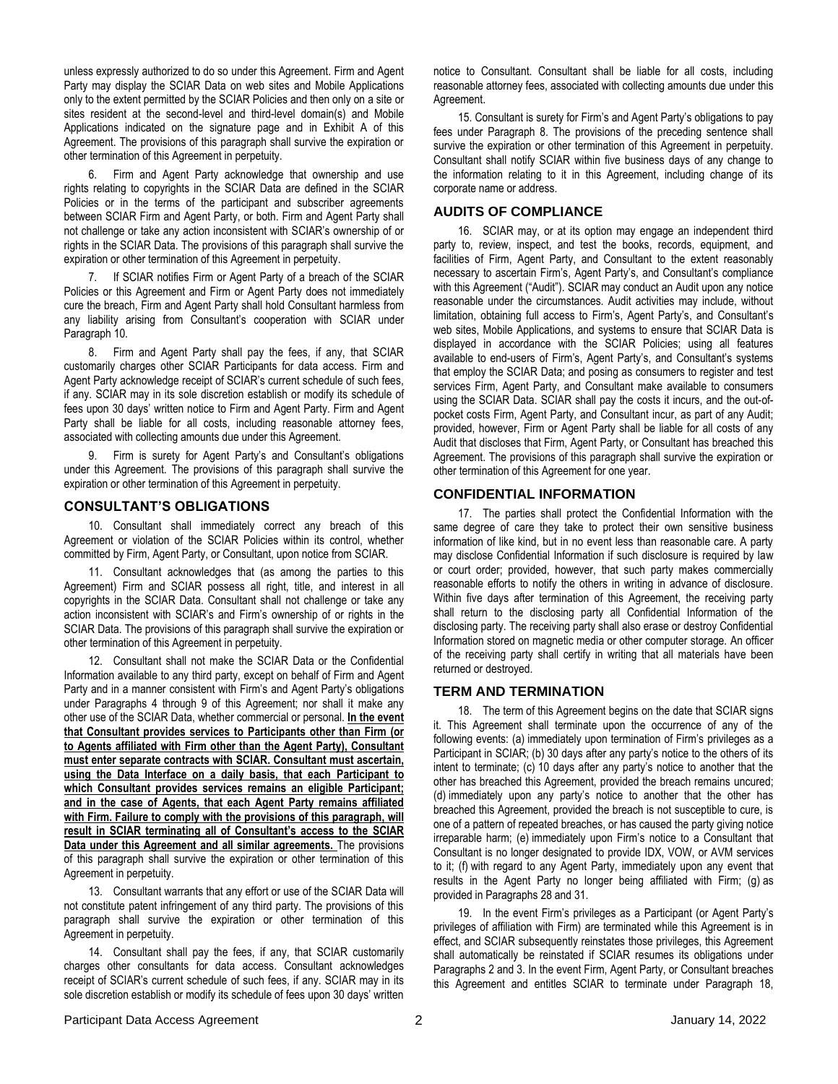unless expressly authorized to do so under this Agreement. Firm and Agent Party may display the SCIAR Data on web sites and Mobile Applications only to the extent permitted by the SCIAR Policies and then only on a site or sites resident at the second-level and third-level domain(s) and Mobile Applications indicated on the signature page and in Exhibit A of this Agreement. The provisions of this paragraph shall survive the expiration or other termination of this Agreement in perpetuity.

6. Firm and Agent Party acknowledge that ownership and use rights relating to copyrights in the SCIAR Data are defined in the SCIAR Policies or in the terms of the participant and subscriber agreements between SCIAR Firm and Agent Party, or both. Firm and Agent Party shall not challenge or take any action inconsistent with SCIAR's ownership of or rights in the SCIAR Data. The provisions of this paragraph shall survive the expiration or other termination of this Agreement in perpetuity.

7. If SCIAR notifies Firm or Agent Party of a breach of the SCIAR Policies or this Agreement and Firm or Agent Party does not immediately cure the breach, Firm and Agent Party shall hold Consultant harmless from any liability arising from Consultant's cooperation with SCIAR under Paragraph 10.

8. Firm and Agent Party shall pay the fees, if any, that SCIAR customarily charges other SCIAR Participants for data access. Firm and Agent Party acknowledge receipt of SCIAR's current schedule of such fees, if any. SCIAR may in its sole discretion establish or modify its schedule of fees upon 30 days' written notice to Firm and Agent Party. Firm and Agent Party shall be liable for all costs, including reasonable attorney fees, associated with collecting amounts due under this Agreement.

9. Firm is surety for Agent Party's and Consultant's obligations under this Agreement. The provisions of this paragraph shall survive the expiration or other termination of this Agreement in perpetuity.

#### **CONSULTANT'S OBLIGATIONS**

10. Consultant shall immediately correct any breach of this Agreement or violation of the SCIAR Policies within its control, whether committed by Firm, Agent Party, or Consultant, upon notice from SCIAR.

11. Consultant acknowledges that (as among the parties to this Agreement) Firm and SCIAR possess all right, title, and interest in all copyrights in the SCIAR Data. Consultant shall not challenge or take any action inconsistent with SCIAR's and Firm's ownership of or rights in the SCIAR Data. The provisions of this paragraph shall survive the expiration or other termination of this Agreement in perpetuity.

12. Consultant shall not make the SCIAR Data or the Confidential Information available to any third party, except on behalf of Firm and Agent Party and in a manner consistent with Firm's and Agent Party's obligations under Paragraphs 4 through 9 of this Agreement; nor shall it make any other use of the SCIAR Data, whether commercial or personal. **In the event that Consultant provides services to Participants other than Firm (or to Agents affiliated with Firm other than the Agent Party), Consultant must enter separate contracts with SCIAR. Consultant must ascertain, using the Data Interface on a daily basis, that each Participant to which Consultant provides services remains an eligible Participant; and in the case of Agents, that each Agent Party remains affiliated with Firm. Failure to comply with the provisions of this paragraph, will result in SCIAR terminating all of Consultant's access to the SCIAR Data under this Agreement and all similar agreements.** The provisions of this paragraph shall survive the expiration or other termination of this Agreement in perpetuity.

13. Consultant warrants that any effort or use of the SCIAR Data will not constitute patent infringement of any third party. The provisions of this paragraph shall survive the expiration or other termination of this Agreement in perpetuity.

14. Consultant shall pay the fees, if any, that SCIAR customarily charges other consultants for data access. Consultant acknowledges receipt of SCIAR's current schedule of such fees, if any. SCIAR may in its sole discretion establish or modify its schedule of fees upon 30 days' written

notice to Consultant. Consultant shall be liable for all costs, including reasonable attorney fees, associated with collecting amounts due under this Agreement.

15. Consultant is surety for Firm's and Agent Party's obligations to pay fees under Paragraph 8. The provisions of the preceding sentence shall survive the expiration or other termination of this Agreement in perpetuity. Consultant shall notify SCIAR within five business days of any change to the information relating to it in this Agreement, including change of its corporate name or address.

#### **AUDITS OF COMPLIANCE**

16. SCIAR may, or at its option may engage an independent third party to, review, inspect, and test the books, records, equipment, and facilities of Firm, Agent Party, and Consultant to the extent reasonably necessary to ascertain Firm's, Agent Party's, and Consultant's compliance with this Agreement ("Audit"). SCIAR may conduct an Audit upon any notice reasonable under the circumstances. Audit activities may include, without limitation, obtaining full access to Firm's, Agent Party's, and Consultant's web sites, Mobile Applications, and systems to ensure that SCIAR Data is displayed in accordance with the SCIAR Policies; using all features available to end-users of Firm's, Agent Party's, and Consultant's systems that employ the SCIAR Data; and posing as consumers to register and test services Firm, Agent Party, and Consultant make available to consumers using the SCIAR Data. SCIAR shall pay the costs it incurs, and the out-ofpocket costs Firm, Agent Party, and Consultant incur, as part of any Audit; provided, however, Firm or Agent Party shall be liable for all costs of any Audit that discloses that Firm, Agent Party, or Consultant has breached this Agreement. The provisions of this paragraph shall survive the expiration or other termination of this Agreement for one year.

#### **CONFIDENTIAL INFORMATION**

17. The parties shall protect the Confidential Information with the same degree of care they take to protect their own sensitive business information of like kind, but in no event less than reasonable care. A party may disclose Confidential Information if such disclosure is required by law or court order; provided, however, that such party makes commercially reasonable efforts to notify the others in writing in advance of disclosure. Within five days after termination of this Agreement, the receiving party shall return to the disclosing party all Confidential Information of the disclosing party. The receiving party shall also erase or destroy Confidential Information stored on magnetic media or other computer storage. An officer of the receiving party shall certify in writing that all materials have been returned or destroyed.

#### **TERM AND TERMINATION**

18. The term of this Agreement begins on the date that SCIAR signs it. This Agreement shall terminate upon the occurrence of any of the following events: (a) immediately upon termination of Firm's privileges as a Participant in SCIAR; (b) 30 days after any party's notice to the others of its intent to terminate; (c) 10 days after any party's notice to another that the other has breached this Agreement, provided the breach remains uncured; (d) immediately upon any party's notice to another that the other has breached this Agreement, provided the breach is not susceptible to cure, is one of a pattern of repeated breaches, or has caused the party giving notice irreparable harm; (e) immediately upon Firm's notice to a Consultant that Consultant is no longer designated to provide IDX, VOW, or AVM services to it; (f) with regard to any Agent Party, immediately upon any event that results in the Agent Party no longer being affiliated with Firm; (g) as provided in Paragraphs 28 and 31.

19. In the event Firm's privileges as a Participant (or Agent Party's privileges of affiliation with Firm) are terminated while this Agreement is in effect, and SCIAR subsequently reinstates those privileges, this Agreement shall automatically be reinstated if SCIAR resumes its obligations under Paragraphs 2 and 3. In the event Firm, Agent Party, or Consultant breaches this Agreement and entitles SCIAR to terminate under Paragraph 18,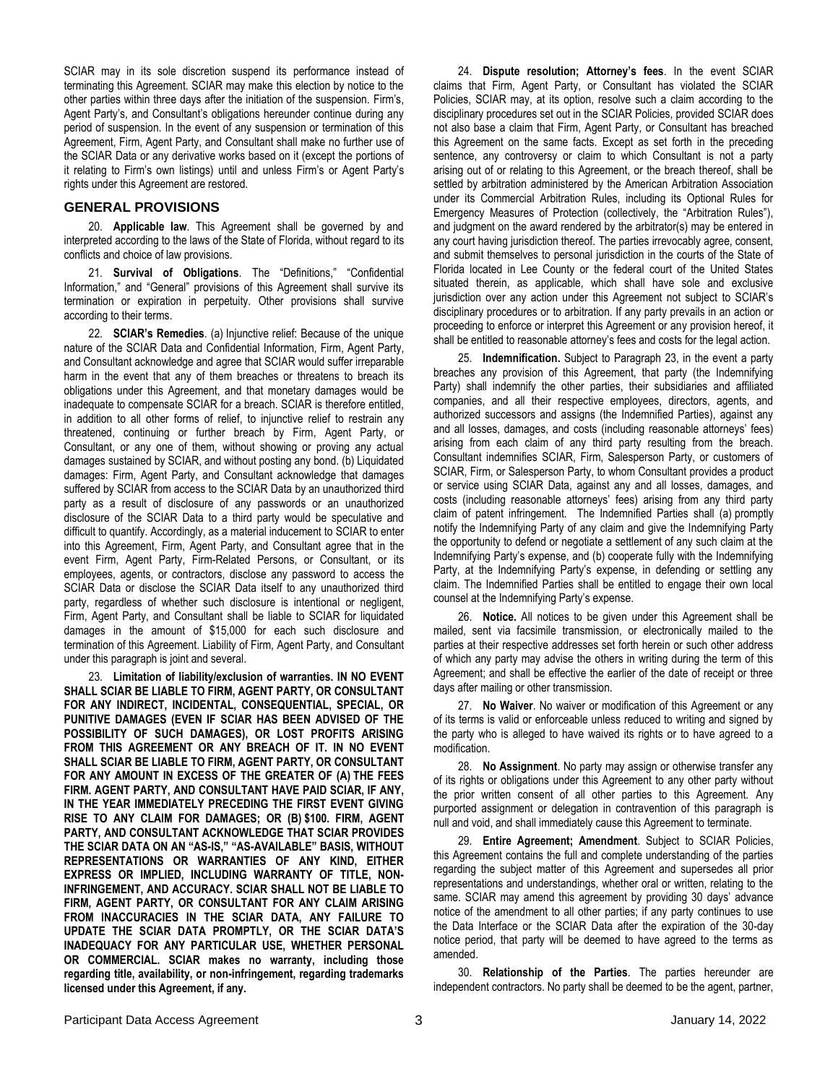SCIAR may in its sole discretion suspend its performance instead of terminating this Agreement. SCIAR may make this election by notice to the other parties within three days after the initiation of the suspension. Firm's, Agent Party's, and Consultant's obligations hereunder continue during any period of suspension. In the event of any suspension or termination of this Agreement, Firm, Agent Party, and Consultant shall make no further use of the SCIAR Data or any derivative works based on it (except the portions of it relating to Firm's own listings) until and unless Firm's or Agent Party's rights under this Agreement are restored.

#### **GENERAL PROVISIONS**

20. **Applicable law**. This Agreement shall be governed by and interpreted according to the laws of the State of Florida, without regard to its conflicts and choice of law provisions.

21. **Survival of Obligations**. The "Definitions," "Confidential Information," and "General" provisions of this Agreement shall survive its termination or expiration in perpetuity. Other provisions shall survive according to their terms.

22. **SCIAR's Remedies**. (a) Injunctive relief: Because of the unique nature of the SCIAR Data and Confidential Information, Firm, Agent Party, and Consultant acknowledge and agree that SCIAR would suffer irreparable harm in the event that any of them breaches or threatens to breach its obligations under this Agreement, and that monetary damages would be inadequate to compensate SCIAR for a breach. SCIAR is therefore entitled, in addition to all other forms of relief, to injunctive relief to restrain any threatened, continuing or further breach by Firm, Agent Party, or Consultant, or any one of them, without showing or proving any actual damages sustained by SCIAR, and without posting any bond. (b) Liquidated damages: Firm, Agent Party, and Consultant acknowledge that damages suffered by SCIAR from access to the SCIAR Data by an unauthorized third party as a result of disclosure of any passwords or an unauthorized disclosure of the SCIAR Data to a third party would be speculative and difficult to quantify. Accordingly, as a material inducement to SCIAR to enter into this Agreement, Firm, Agent Party, and Consultant agree that in the event Firm, Agent Party, Firm-Related Persons, or Consultant, or its employees, agents, or contractors, disclose any password to access the SCIAR Data or disclose the SCIAR Data itself to any unauthorized third party, regardless of whether such disclosure is intentional or negligent, Firm, Agent Party, and Consultant shall be liable to SCIAR for liquidated damages in the amount of \$15,000 for each such disclosure and termination of this Agreement. Liability of Firm, Agent Party, and Consultant under this paragraph is joint and several.

23. **Limitation of liability/exclusion of warranties. IN NO EVENT SHALL SCIAR BE LIABLE TO FIRM, AGENT PARTY, OR CONSULTANT FOR ANY INDIRECT, INCIDENTAL, CONSEQUENTIAL, SPECIAL, OR PUNITIVE DAMAGES (EVEN IF SCIAR HAS BEEN ADVISED OF THE POSSIBILITY OF SUCH DAMAGES), OR LOST PROFITS ARISING FROM THIS AGREEMENT OR ANY BREACH OF IT. IN NO EVENT SHALL SCIAR BE LIABLE TO FIRM, AGENT PARTY, OR CONSULTANT FOR ANY AMOUNT IN EXCESS OF THE GREATER OF (A) THE FEES FIRM. AGENT PARTY, AND CONSULTANT HAVE PAID SCIAR, IF ANY, IN THE YEAR IMMEDIATELY PRECEDING THE FIRST EVENT GIVING RISE TO ANY CLAIM FOR DAMAGES; OR (B) \$100. FIRM, AGENT PARTY, AND CONSULTANT ACKNOWLEDGE THAT SCIAR PROVIDES THE SCIAR DATA ON AN "AS-IS," "AS-AVAILABLE" BASIS, WITHOUT REPRESENTATIONS OR WARRANTIES OF ANY KIND, EITHER EXPRESS OR IMPLIED, INCLUDING WARRANTY OF TITLE, NON-INFRINGEMENT, AND ACCURACY. SCIAR SHALL NOT BE LIABLE TO FIRM, AGENT PARTY, OR CONSULTANT FOR ANY CLAIM ARISING FROM INACCURACIES IN THE SCIAR DATA, ANY FAILURE TO UPDATE THE SCIAR DATA PROMPTLY, OR THE SCIAR DATA'S INADEQUACY FOR ANY PARTICULAR USE, WHETHER PERSONAL OR COMMERCIAL. SCIAR makes no warranty, including those regarding title, availability, or non-infringement, regarding trademarks licensed under this Agreement, if any.**

24. **Dispute resolution; Attorney's fees**. In the event SCIAR claims that Firm, Agent Party, or Consultant has violated the SCIAR Policies, SCIAR may, at its option, resolve such a claim according to the disciplinary procedures set out in the SCIAR Policies, provided SCIAR does not also base a claim that Firm, Agent Party, or Consultant has breached this Agreement on the same facts. Except as set forth in the preceding sentence, any controversy or claim to which Consultant is not a party arising out of or relating to this Agreement, or the breach thereof, shall be settled by arbitration administered by the American Arbitration Association under its Commercial Arbitration Rules, including its Optional Rules for Emergency Measures of Protection (collectively, the "Arbitration Rules"), and judgment on the award rendered by the arbitrator(s) may be entered in any court having jurisdiction thereof. The parties irrevocably agree, consent, and submit themselves to personal jurisdiction in the courts of the State of Florida located in Lee County or the federal court of the United States situated therein, as applicable, which shall have sole and exclusive jurisdiction over any action under this Agreement not subject to SCIAR's disciplinary procedures or to arbitration. If any party prevails in an action or proceeding to enforce or interpret this Agreement or any provision hereof, it shall be entitled to reasonable attorney's fees and costs for the legal action.

25. **Indemnification.** Subject to Paragraph 23, in the event a party breaches any provision of this Agreement, that party (the Indemnifying Party) shall indemnify the other parties, their subsidiaries and affiliated companies, and all their respective employees, directors, agents, and authorized successors and assigns (the Indemnified Parties), against any and all losses, damages, and costs (including reasonable attorneys' fees) arising from each claim of any third party resulting from the breach. Consultant indemnifies SCIAR, Firm, Salesperson Party, or customers of SCIAR, Firm, or Salesperson Party, to whom Consultant provides a product or service using SCIAR Data, against any and all losses, damages, and costs (including reasonable attorneys' fees) arising from any third party claim of patent infringement. The Indemnified Parties shall (a) promptly notify the Indemnifying Party of any claim and give the Indemnifying Party the opportunity to defend or negotiate a settlement of any such claim at the Indemnifying Party's expense, and (b) cooperate fully with the Indemnifying Party, at the Indemnifying Party's expense, in defending or settling any claim. The Indemnified Parties shall be entitled to engage their own local counsel at the Indemnifying Party's expense.

26. **Notice.** All notices to be given under this Agreement shall be mailed, sent via facsimile transmission, or electronically mailed to the parties at their respective addresses set forth herein or such other address of which any party may advise the others in writing during the term of this Agreement; and shall be effective the earlier of the date of receipt or three days after mailing or other transmission.

27. **No Waiver**. No waiver or modification of this Agreement or any of its terms is valid or enforceable unless reduced to writing and signed by the party who is alleged to have waived its rights or to have agreed to a modification.

28. **No Assignment**. No party may assign or otherwise transfer any of its rights or obligations under this Agreement to any other party without the prior written consent of all other parties to this Agreement. Any purported assignment or delegation in contravention of this paragraph is null and void, and shall immediately cause this Agreement to terminate.

29. **Entire Agreement; Amendment**. Subject to SCIAR Policies, this Agreement contains the full and complete understanding of the parties regarding the subject matter of this Agreement and supersedes all prior representations and understandings, whether oral or written, relating to the same. SCIAR may amend this agreement by providing 30 days' advance notice of the amendment to all other parties; if any party continues to use the Data Interface or the SCIAR Data after the expiration of the 30-day notice period, that party will be deemed to have agreed to the terms as amended.

30. **Relationship of the Parties**. The parties hereunder are independent contractors. No party shall be deemed to be the agent, partner,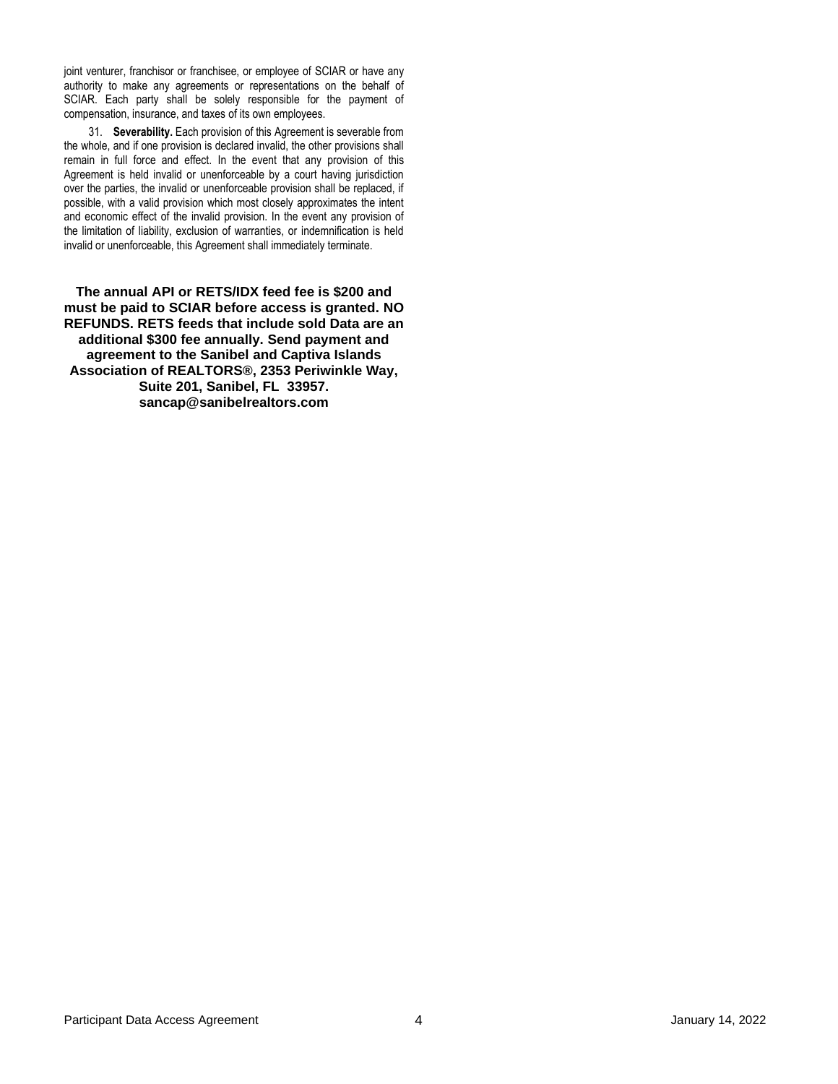joint venturer, franchisor or franchisee, or employee of SCIAR or have any authority to make any agreements or representations on the behalf of SCIAR. Each party shall be solely responsible for the payment of compensation, insurance, and taxes of its own employees.

31. **Severability.** Each provision of this Agreement is severable from the whole, and if one provision is declared invalid, the other provisions shall remain in full force and effect. In the event that any provision of this Agreement is held invalid or unenforceable by a court having jurisdiction over the parties, the invalid or unenforceable provision shall be replaced, if possible, with a valid provision which most closely approximates the intent and economic effect of the invalid provision. In the event any provision of the limitation of liability, exclusion of warranties, or indemnification is held invalid or unenforceable, this Agreement shall immediately terminate.

**The annual API or RETS/IDX feed fee is \$200 and must be paid to SCIAR before access is granted. NO REFUNDS. RETS feeds that include sold Data are an additional \$300 fee annually. Send payment and agreement to the Sanibel and Captiva Islands Association of REALTORS®, 2353 Periwinkle Way, Suite 201, Sanibel, FL 33957. sancap@sanibelrealtors.com**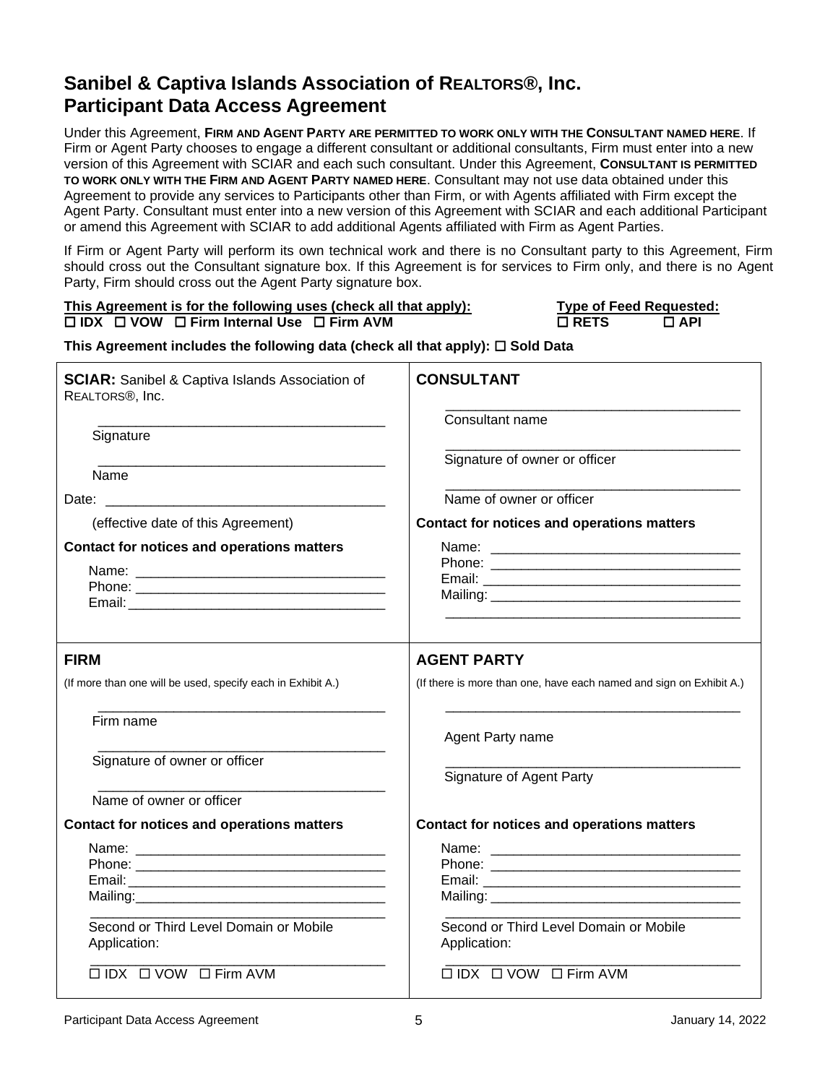Under this Agreement, **FIRM AND AGENT PARTY ARE PERMITTED TO WORK ONLY WITH THE CONSULTANT NAMED HERE**. If Firm or Agent Party chooses to engage a different consultant or additional consultants, Firm must enter into a new version of this Agreement with SCIAR and each such consultant. Under this Agreement, **CONSULTANT IS PERMITTED TO WORK ONLY WITH THE FIRM AND AGENT PARTY NAMED HERE**. Consultant may not use data obtained under this Agreement to provide any services to Participants other than Firm, or with Agents affiliated with Firm except the Agent Party. Consultant must enter into a new version of this Agreement with SCIAR and each additional Participant or amend this Agreement with SCIAR to add additional Agents affiliated with Firm as Agent Parties.

If Firm or Agent Party will perform its own technical work and there is no Consultant party to this Agreement, Firm should cross out the Consultant signature box. If this Agreement is for services to Firm only, and there is no Agent Party, Firm should cross out the Agent Party signature box.

### This Agreement is for the following uses (check all that apply):  $\Box$  **IDX**  $\Box$  **VOW**  $\Box$  **Firm Internal Use**  $\Box$  **Firm AVM**

| Type of Feed Requested: |            |
|-------------------------|------------|
| $\square$ RETS.         | $\Box$ API |

### **This Agreement includes the following data (check all that apply): Sold Data**

| <b>SCIAR:</b> Sanibel & Captiva Islands Association of<br>REALTORS <sup>®</sup> , Inc. | <b>CONSULTANT</b>                                                   |  |  |
|----------------------------------------------------------------------------------------|---------------------------------------------------------------------|--|--|
| Signature                                                                              | Consultant name                                                     |  |  |
| Name                                                                                   | Signature of owner or officer<br>Name of owner or officer           |  |  |
|                                                                                        |                                                                     |  |  |
| (effective date of this Agreement)                                                     | Contact for notices and operations matters                          |  |  |
| <b>Contact for notices and operations matters</b>                                      |                                                                     |  |  |
|                                                                                        |                                                                     |  |  |
|                                                                                        |                                                                     |  |  |
| <b>FIRM</b>                                                                            | <b>AGENT PARTY</b>                                                  |  |  |
| (If more than one will be used, specify each in Exhibit A.)                            | (If there is more than one, have each named and sign on Exhibit A.) |  |  |
| Firm name                                                                              | Agent Party name                                                    |  |  |
| Signature of owner or officer                                                          | Signature of Agent Party                                            |  |  |
| Name of owner or officer                                                               |                                                                     |  |  |
| <b>Contact for notices and operations matters</b>                                      | <b>Contact for notices and operations matters</b>                   |  |  |
|                                                                                        |                                                                     |  |  |
|                                                                                        |                                                                     |  |  |
|                                                                                        |                                                                     |  |  |
| Second or Third Level Domain or Mobile<br>Application:                                 | Second or Third Level Domain or Mobile<br>Application:              |  |  |
| $\Box$ IDX $\Box$ VOW $\Box$ Firm AVM                                                  | $\Box$ IDX $\Box$ VOW $\Box$ Firm AVM                               |  |  |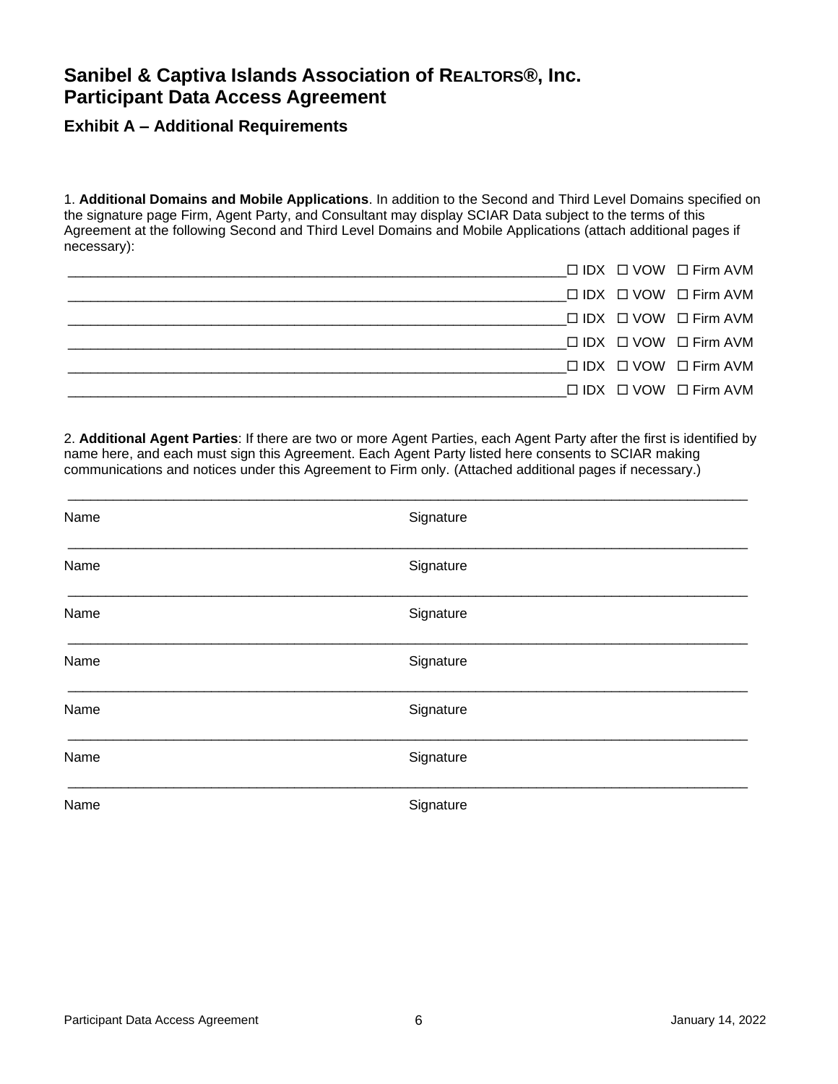### **Exhibit A – Additional Requirements**

1. **Additional Domains and Mobile Applications**. In addition to the Second and Third Level Domains specified on the signature page Firm, Agent Party, and Consultant may display SCIAR Data subject to the terms of this Agreement at the following Second and Third Level Domains and Mobile Applications (attach additional pages if necessary):

|  | $\Box$ IDX $\Box$ VOW $\Box$ Firm AVM |
|--|---------------------------------------|
|  | $\Box$ IDX $\Box$ VOW $\Box$ Firm AVM |
|  | $\Box$ IDX $\Box$ VOW $\Box$ Firm AVM |
|  | $\Box$ IDX $\Box$ VOW $\Box$ Firm AVM |
|  | $\Box$ IDX $\Box$ VOW $\Box$ Firm AVM |
|  | $\Box$ IDX $\Box$ VOW $\Box$ Firm AVM |
|  |                                       |

2. **Additional Agent Parties**: If there are two or more Agent Parties, each Agent Party after the first is identified by name here, and each must sign this Agreement. Each Agent Party listed here consents to SCIAR making communications and notices under this Agreement to Firm only. (Attached additional pages if necessary.)

| Name | Signature |
|------|-----------|
| Name | Signature |
| Name | Signature |
| Name | Signature |
| Name | Signature |
| Name | Signature |
| Name | Signature |